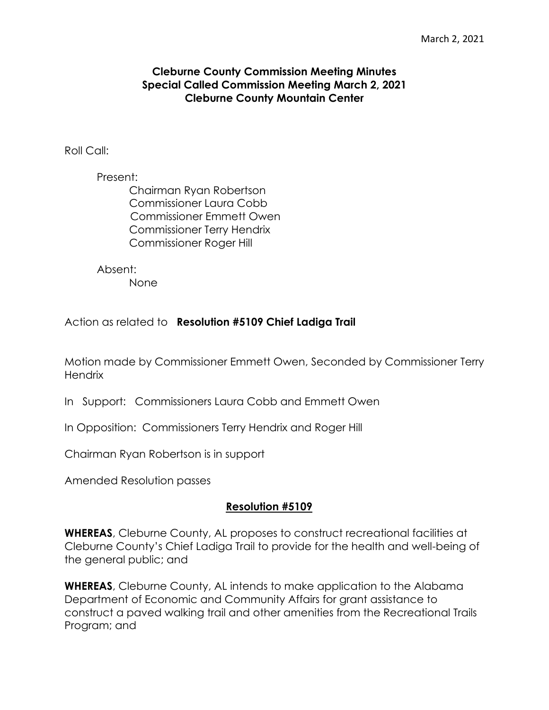## **Cleburne County Commission Meeting Minutes Special Called Commission Meeting March 2, 2021 Cleburne County Mountain Center**

Roll Call:

Present: Chairman Ryan Robertson Commissioner Laura Cobb Commissioner Emmett Owen Commissioner Terry Hendrix Commissioner Roger Hill

Absent:

None

Action as related to **Resolution #5109 Chief Ladiga Trail**

Motion made by Commissioner Emmett Owen, Seconded by Commissioner Terry **Hendrix** 

- In Support: Commissioners Laura Cobb and Emmett Owen
- In Opposition: Commissioners Terry Hendrix and Roger Hill

Chairman Ryan Robertson is in support

Amended Resolution passes

## **Resolution #5109**

**WHEREAS**, Cleburne County, AL proposes to construct recreational facilities at Cleburne County's Chief Ladiga Trail to provide for the health and well-being of the general public; and

**WHEREAS**, Cleburne County, AL intends to make application to the Alabama Department of Economic and Community Affairs for grant assistance to construct a paved walking trail and other amenities from the Recreational Trails Program; and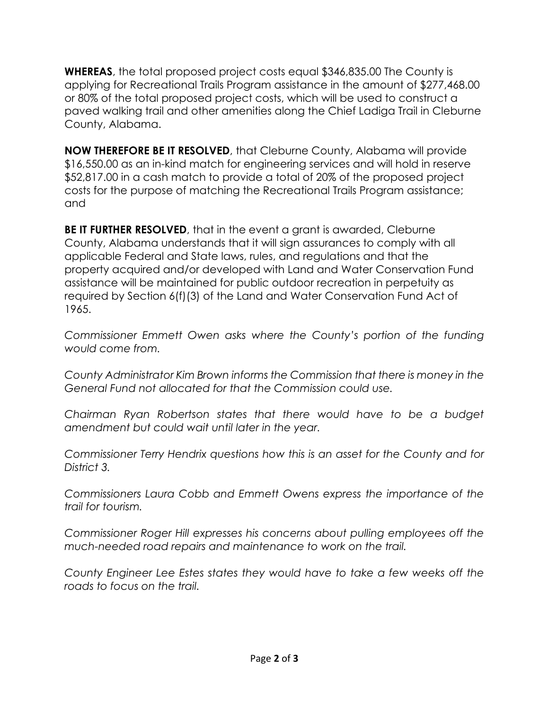**WHEREAS**, the total proposed project costs equal \$346,835.00 The County is applying for Recreational Trails Program assistance in the amount of \$277,468.00 or 80% of the total proposed project costs, which will be used to construct a paved walking trail and other amenities along the Chief Ladiga Trail in Cleburne County, Alabama.

**NOW THEREFORE BE IT RESOLVED**, that Cleburne County, Alabama will provide \$16,550.00 as an in-kind match for engineering services and will hold in reserve \$52,817.00 in a cash match to provide a total of 20% of the proposed project costs for the purpose of matching the Recreational Trails Program assistance; and

**BE IT FURTHER RESOLVED**, that in the event a grant is awarded, Cleburne County, Alabama understands that it will sign assurances to comply with all applicable Federal and State laws, rules, and regulations and that the property acquired and/or developed with Land and Water Conservation Fund assistance will be maintained for public outdoor recreation in perpetuity as required by Section 6(f)(3) of the Land and Water Conservation Fund Act of 1965.

*Commissioner Emmett Owen asks where the County's portion of the funding would come from.*

*County Administrator Kim Brown informs the Commission that there is money in the General Fund not allocated for that the Commission could use.*

*Chairman Ryan Robertson states that there would have to be a budget amendment but could wait until later in the year.*

*Commissioner Terry Hendrix questions how this is an asset for the County and for District 3.*

*Commissioners Laura Cobb and Emmett Owens express the importance of the trail for tourism.* 

*Commissioner Roger Hill expresses his concerns about pulling employees off the much-needed road repairs and maintenance to work on the trail.*

*County Engineer Lee Estes states they would have to take a few weeks off the roads to focus on the trail.*